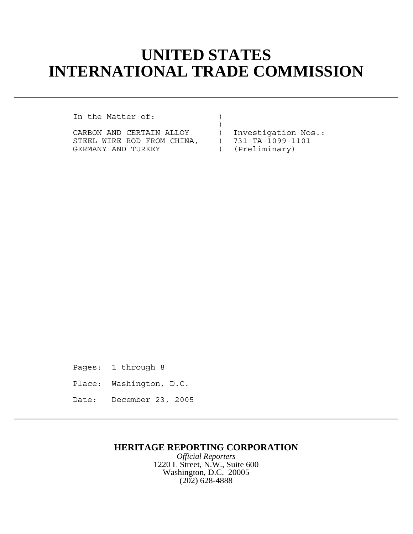## **UNITED STATES INTERNATIONAL TRADE COMMISSION**

)

In the Matter of:  $\qquad \qquad$  )

CARBON AND CERTAIN ALLOY ) Investigation Nos.:<br>STEEL WIRE ROD FROM CHINA, ) 731-TA-1099-1101 STEEL WIRE ROD FROM CHINA,  $\overline{731}$ -TA-1099-1<br>GERMANY AND TURKEY (Preliminary) GERMANY AND TURKEY  $($ 

Pages: 1 through 8 Place: Washington, D.C. Date: December 23, 2005

## **HERITAGE REPORTING CORPORATION**

*Official Reporters* 1220 L Street, N.W., Suite 600 Washington, D.C. 20005 (202) 628-4888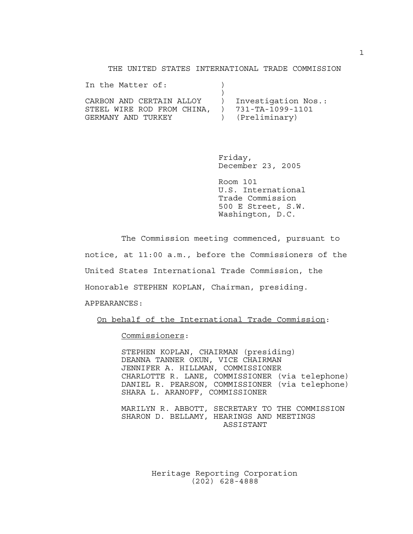THE UNITED STATES INTERNATIONAL TRADE COMMISSION

| In the Matter of:          |                     |
|----------------------------|---------------------|
|                            |                     |
| CARBON AND CERTAIN ALLOY   | Investigation Nos.: |
| STEEL WIRE ROD FROM CHINA. | 731-TA-1099-1101    |
| GERMANY AND TURKEY         | (Preliminary)       |

Friday, December 23, 2005

Room 101 U.S. International Trade Commission 500 E Street, S.W. Washington, D.C.

The Commission meeting commenced, pursuant to notice, at 11:00 a.m., before the Commissioners of the United States International Trade Commission, the Honorable STEPHEN KOPLAN, Chairman, presiding. APPEARANCES:

On behalf of the International Trade Commission:

Commissioners:

STEPHEN KOPLAN, CHAIRMAN (presiding) DEANNA TANNER OKUN, VICE CHAIRMAN JENNIFER A. HILLMAN, COMMISSIONER CHARLOTTE R. LANE, COMMISSIONER (via telephone) DANIEL R. PEARSON, COMMISSIONER (via telephone) SHARA L. ARANOFF, COMMISSIONER

MARILYN R. ABBOTT, SECRETARY TO THE COMMISSION SHARON D. BELLAMY, HEARINGS AND MEETINGS ASSISTANT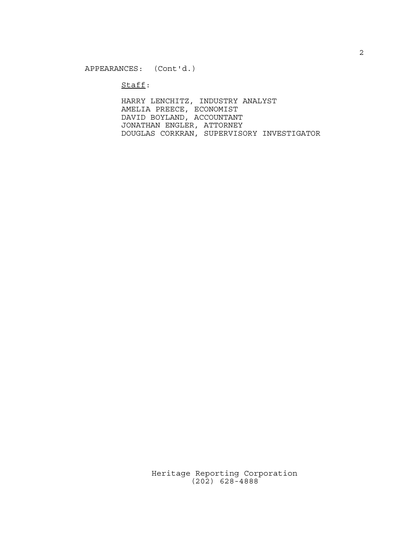Staff:

HARRY LENCHITZ, INDUSTRY ANALYST AMELIA PREECE, ECONOMIST DAVID BOYLAND, ACCOUNTANT JONATHAN ENGLER, ATTORNEY DOUGLAS CORKRAN, SUPERVISORY INVESTIGATOR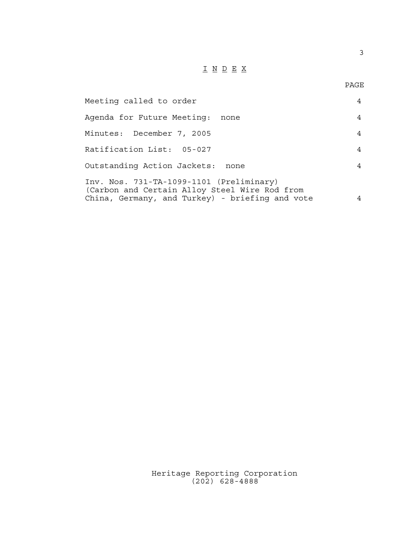## $\underline{\texttt{I}} \underline{\texttt{N}} \underline{\texttt{D}} \underline{\texttt{E}} \underline{\texttt{X}}$

3

| Meeting called to order                                                                                                                      |   |
|----------------------------------------------------------------------------------------------------------------------------------------------|---|
| Agenda for Future Meeting:<br>none                                                                                                           | 4 |
| Minutes: December 7, 2005                                                                                                                    | 4 |
| Ratification List: 05-027                                                                                                                    | 4 |
| Outstanding Action Jackets:<br>none                                                                                                          |   |
| Inv. Nos. 731-TA-1099-1101 (Preliminary)<br>(Carbon and Certain Alloy Steel Wire Rod from<br>China, Germany, and Turkey) - briefing and vote |   |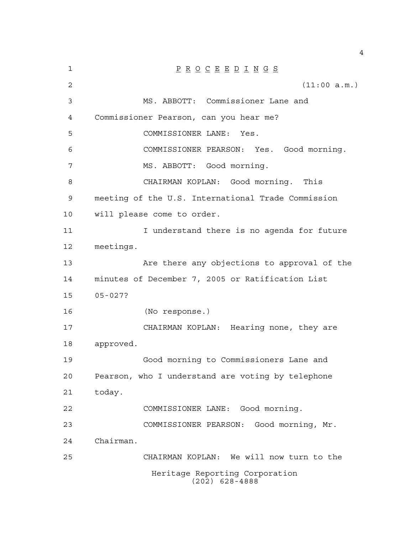| 1  | $\underline{P} \underline{R} \underline{O} \underline{C} \underline{E} \underline{E} \underline{D} \underline{I} \underline{N} \underline{G} \underline{S}$ |
|----|-------------------------------------------------------------------------------------------------------------------------------------------------------------|
| 2  | (11:00 a.m.)                                                                                                                                                |
| 3  | MS. ABBOTT: Commissioner Lane and                                                                                                                           |
| 4  | Commissioner Pearson, can you hear me?                                                                                                                      |
| 5  | COMMISSIONER LANE: Yes.                                                                                                                                     |
| 6  | COMMISSIONER PEARSON: Yes. Good morning.                                                                                                                    |
| 7  | MS. ABBOTT: Good morning.                                                                                                                                   |
| 8  | CHAIRMAN KOPLAN: Good morning. This                                                                                                                         |
| 9  | meeting of the U.S. International Trade Commission                                                                                                          |
| 10 | will please come to order.                                                                                                                                  |
| 11 | I understand there is no agenda for future                                                                                                                  |
| 12 | meetings.                                                                                                                                                   |
| 13 | Are there any objections to approval of the                                                                                                                 |
| 14 | minutes of December 7, 2005 or Ratification List                                                                                                            |
| 15 | $05 - 027?$                                                                                                                                                 |
| 16 | (No response.)                                                                                                                                              |
| 17 | CHAIRMAN KOPLAN: Hearing none, they are                                                                                                                     |
| 18 | approved.                                                                                                                                                   |
| 19 | Good morning to Commissioners Lane and                                                                                                                      |
| 20 | Pearson, who I understand are voting by telephone                                                                                                           |
| 21 | today.                                                                                                                                                      |
| 22 | COMMISSIONER LANE: Good morning.                                                                                                                            |
| 23 | COMMISSIONER PEARSON: Good morning, Mr.                                                                                                                     |
| 24 | Chairman.                                                                                                                                                   |
| 25 | CHAIRMAN KOPLAN: We will now turn to the                                                                                                                    |
|    | Heritage Reporting Corporation<br>$(202)$ 628-4888                                                                                                          |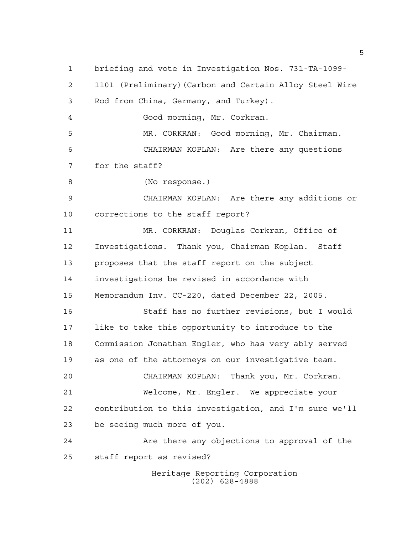Heritage Reporting Corporation briefing and vote in Investigation Nos. 731-TA-1099- 1101 (Preliminary)(Carbon and Certain Alloy Steel Wire Rod from China, Germany, and Turkey). Good morning, Mr. Corkran. MR. CORKRAN: Good morning, Mr. Chairman. CHAIRMAN KOPLAN: Are there any questions for the staff? (No response.) CHAIRMAN KOPLAN: Are there any additions or corrections to the staff report? MR. CORKRAN: Douglas Corkran, Office of Investigations. Thank you, Chairman Koplan. Staff proposes that the staff report on the subject investigations be revised in accordance with Memorandum Inv. CC-220, dated December 22, 2005. Staff has no further revisions, but I would like to take this opportunity to introduce to the Commission Jonathan Engler, who has very ably served as one of the attorneys on our investigative team. CHAIRMAN KOPLAN: Thank you, Mr. Corkran. Welcome, Mr. Engler. We appreciate your contribution to this investigation, and I'm sure we'll be seeing much more of you. 24 Are there any objections to approval of the staff report as revised?

(202) 628-4888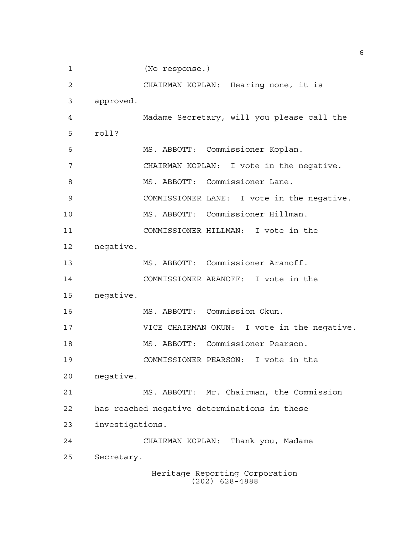Heritage Reporting Corporation (202) 628-4888 (No response.) CHAIRMAN KOPLAN: Hearing none, it is approved. Madame Secretary, will you please call the roll? MS. ABBOTT: Commissioner Koplan. CHAIRMAN KOPLAN: I vote in the negative. 8 MS. ABBOTT: Commissioner Lane. COMMISSIONER LANE: I vote in the negative. MS. ABBOTT: Commissioner Hillman. COMMISSIONER HILLMAN: I vote in the negative. MS. ABBOTT: Commissioner Aranoff. COMMISSIONER ARANOFF: I vote in the negative. MS. ABBOTT: Commission Okun. VICE CHAIRMAN OKUN: I vote in the negative. MS. ABBOTT: Commissioner Pearson. COMMISSIONER PEARSON: I vote in the negative. MS. ABBOTT: Mr. Chairman, the Commission has reached negative determinations in these investigations. CHAIRMAN KOPLAN: Thank you, Madame Secretary.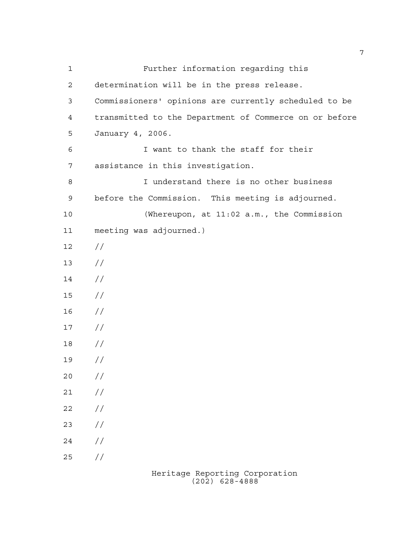| $\mathbf 1$ | Further information regarding this                     |
|-------------|--------------------------------------------------------|
| 2           | determination will be in the press release.            |
| 3           | Commissioners' opinions are currently scheduled to be  |
| 4           | transmitted to the Department of Commerce on or before |
| 5           | January 4, 2006.                                       |
| 6           | I want to thank the staff for their                    |
| 7           | assistance in this investigation.                      |
| $\,8\,$     | I understand there is no other business                |
| 9           | before the Commission. This meeting is adjourned.      |
| 10          | (Whereupon, at 11:02 a.m., the Commission              |
| 11          | meeting was adjourned.)                                |
| 12          | $\frac{1}{2}$                                          |
| 13          | $\frac{1}{2}$                                          |
| 14          | $\frac{1}{2}$                                          |
| 15          | $\frac{1}{2}$                                          |
| 16          | $\frac{1}{2}$                                          |
| 17          | $\frac{1}{2}$                                          |
| 18          | $\frac{1}{2}$                                          |
| 19          | $\frac{1}{2}$                                          |
| 20          | $\frac{1}{2}$                                          |
| 21          | //                                                     |
| 22          | //                                                     |
| 23          | //                                                     |
| 24          | //                                                     |
| 25          | //                                                     |
|             |                                                        |